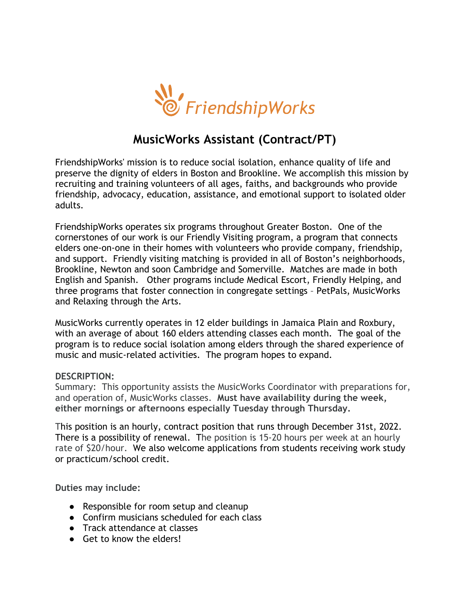

## **MusicWorks Assistant (Contract/PT)**

FriendshipWorks' mission is to reduce social isolation, enhance quality of life and preserve the dignity of elders in Boston and Brookline. We accomplish this mission by recruiting and training volunteers of all ages, faiths, and backgrounds who provide friendship, advocacy, education, assistance, and emotional support to isolated older adults.

FriendshipWorks operates six programs throughout Greater Boston. One of the cornerstones of our work is our Friendly Visiting program, a program that connects elders one-on-one in their homes with volunteers who provide company, friendship, and support. Friendly visiting matching is provided in all of Boston's neighborhoods, Brookline, Newton and soon Cambridge and Somerville. Matches are made in both English and Spanish. Other programs include Medical Escort, Friendly Helping, and three programs that foster connection in congregate settings – PetPals, MusicWorks and Relaxing through the Arts.

MusicWorks currently operates in 12 elder buildings in Jamaica Plain and Roxbury, with an average of about 160 elders attending classes each month. The goal of the program is to reduce social isolation among elders through the shared experience of music and music-related activities. The program hopes to expand.

## **DESCRIPTION:**

Summary: This opportunity assists the MusicWorks Coordinator with preparations for, and operation of, MusicWorks classes. **Must have availability during the week, either mornings or afternoons especially Tuesday through Thursday.** 

This position is an hourly, contract position that runs through December 31st, 2022. There is a possibility of renewal. The position is 15-20 hours per week at an hourly rate of \$20/hour. We also welcome applications from students receiving work study or practicum/school credit.

**Duties may include:**

- Responsible for room setup and cleanup
- Confirm musicians scheduled for each class
- Track attendance at classes
- Get to know the elders!